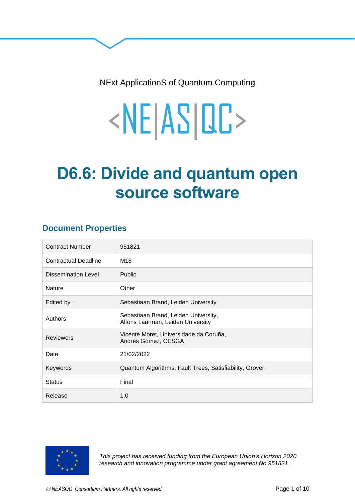NExt ApplicationS of Quantum Computing

# <NE|AS|QC>

## **D6.6: Divide and quantum open source software**

## **Document Properties**

| <b>Contract Number</b>      | 951821                                                                    |
|-----------------------------|---------------------------------------------------------------------------|
| <b>Contractual Deadline</b> | M18                                                                       |
| <b>Dissemination Level</b>  | <b>Public</b>                                                             |
| <b>Nature</b>               | Other                                                                     |
| Edited by:                  | Sebastiaan Brand, Leiden University                                       |
| Authors                     | Sebastiaan Brand, Leiden University,<br>Alfons Laarman, Leiden University |
| <b>Reviewers</b>            | Vicente Moret, Universidade da Coruña,<br>Andrés Gómez, CESGA             |
| Date                        | 21/02/2022                                                                |
| Keywords                    | Quantum Algorithms, Fault Trees, Satisfiability, Grover                   |
| <b>Status</b>               | Final                                                                     |
| Release                     | 1.0                                                                       |



*This project has received funding from the European Union's Horizon 2020 research and innovation programme under grant agreement No 951821*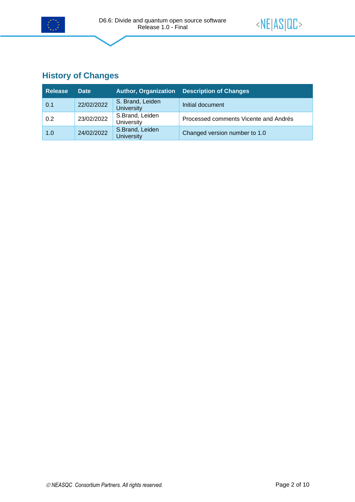

## **History of Changes**

| <b>Release</b> | <b>Date</b> |                                       | Author, Organization Description of Changes |
|----------------|-------------|---------------------------------------|---------------------------------------------|
| 0.1            | 22/02/2022  | S. Brand, Leiden<br><b>University</b> | Initial document                            |
| 0.2            | 23/02/2022  | S.Brand, Leiden<br>University         | Processed comments Vicente and Andrés       |
| 1.0            | 24/02/2022  | S.Brand, Leiden<br><b>University</b>  | Changed version number to 1.0               |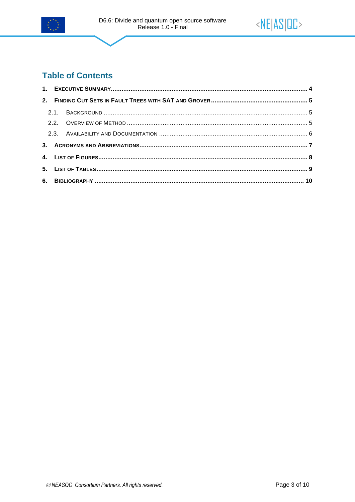



## **Table of Contents**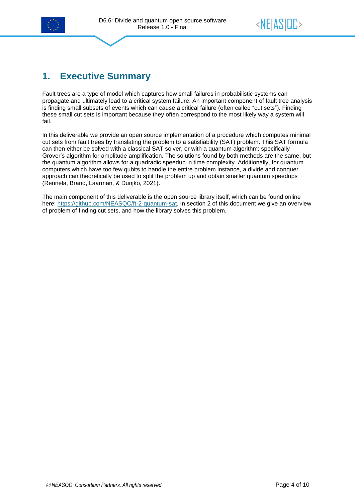

## <span id="page-3-0"></span>**1. Executive Summary**

Fault trees are a type of model which captures how small failures in probabilistic systems can propagate and ultimately lead to a critical system failure. An important component of fault tree analysis is finding small subsets of events which can cause a critical failure (often called "cut sets"). Finding these small cut sets is important because they often correspond to the most likely way a system will fail.

In this deliverable we provide an open source implementation of a procedure which computes minimal cut sets from fault trees by translating the problem to a satisfiability (SAT) problem. This SAT formula can then either be solved with a classical SAT solver, or with a quantum algorithm: specifically Grover's algorithm for amplitude amplification. The solutions found by both methods are the same, but the quantum algorithm allows for a quadradic speedup in time complexity. Additionally, for quantum computers which have too few qubits to handle the entire problem instance, a divide and conquer approach can theoretically be used to split the problem up and obtain smaller quantum speedups (Rennela, Brand, Laarman, & Dunjko, 2021).

The main component of this deliverable is the open source library itself, which can be found online here: [https://github.com/NEASQC/ft-2-quantum-sat.](https://github.com/NEASQC/ft-2-quantum-sat) In section 2 of this document we give an overview of problem of finding cut sets, and how the library solves this problem.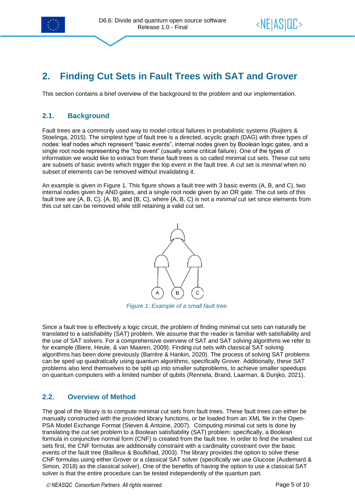

## <span id="page-4-0"></span>**2. Finding Cut Sets in Fault Trees with SAT and Grover**

<span id="page-4-1"></span>This section contains a brief overview of the background to the problem and our implementation.

#### **2.1. Background**

Fault trees are a commonly used way to model critical failures in probabilistic systems (Ruijters & Stoelinga, 2015). The simplest type of fault tree is a directed, acyclic graph (DAG) with three types of nodes: leaf nodes which represent "basic events", internal nodes given by Boolean logic gates, and a single root node representing the "top event" (usually some critical failure). One of the types of information we would like to extract from these fault trees is so called minimal cut sets. These cut sets are subsets of basic events which trigger the top event in the fault tree. A cut set is *minimal* when no subset of elements can be removed without invalidating it.

An example is given in [Figure 1.](#page-4-3) This figure shows a fault tree with 3 basic events (A, B, and C), two internal nodes given by AND gates, and a single root node given by an OR gate. The cut sets of this fault tree are {A, B, C}, {A, B}, and {B, C}, where {A, B, C} is not a *minimal* cut set since elements from this cut set can be removed while still retaining a valid cut set.



*Figure 1: Example of a small fault tree.*

<span id="page-4-3"></span>Since a fault tree is effectively a logic circuit, the problem of finding minimal cut sets can naturally be translated to a satisfiability (SAT) problem. We assume that the reader is familiar with satisfiability and the use of SAT solvers. For a comprehensive overview of SAT and SAT solving algorithms we refer to for example (Biere, Heule, & van Maaren, 2009). Finding cut sets with classical SAT solving algorithms has been done previously (Barrère & Hankin, 2020). The process of solving SAT problems can be sped up quadratically using quantum algorithms, specifically Grover. Additionally, these SAT problems also lend themselves to be split up into smaller subproblems, to achieve smaller speedups on quantum computers with a limited number of qubits (Rennela, Brand, Laarman, & Dunjko, 2021).

#### <span id="page-4-2"></span>**2.2. Overview of Method**

The goal of the library is to compute minimal cut sets from fault trees. These fault trees can either be manually constructed with the provided library functions, or be loaded from an XML file in the Open-PSA Model Exchange Format (Steven & Antoine, 2007). Computing minimal cut sets is done by translating the cut set problem to a Boolean satisfiability (SAT) problem: specifically, a Boolean formula in conjunctive normal form (CNF) is created from the fault tree. In order to find the smallest cut sets first, the CNF formulas are additionally constraint with a cardinality constraint over the basic events of the fault tree (Bailleux & Boufkhad, 2003). The library provides the option to solve these CNF formulas using either Grover or a classical SAT solver (specifically we use Glucose (Audemard & Simon, 2018) as the classical solver). One of the benefits of having the option to use a classical SAT solver is that the entire procedure can be tested independently of the quantum part.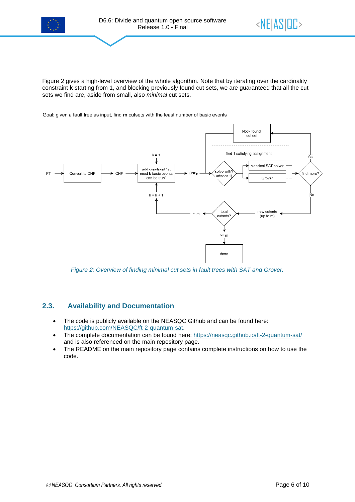

[Figure 2](#page-5-1) gives a high-level overview of the whole algorithm. Note that by iterating over the cardinality constraint **k** starting from 1, and blocking previously found cut sets, we are guaranteed that all the cut sets we find are, aside from small, also *minimal* cut sets.

Goal: given a fault tree as input, find m cutsets with the least number of basic events



<span id="page-5-1"></span>*Figure 2: Overview of finding minimal cut sets in fault trees with SAT and Grover.*

#### <span id="page-5-0"></span>**2.3. Availability and Documentation**

- The code is publicly available on the NEASQC Github and can be found here: [https://github.com/NEASQC/ft-2-quantum-sat.](https://github.com/NEASQC/ft-2-quantum-sat)
- The complete documentation can be found here:<https://neasqc.github.io/ft-2-quantum-sat/> and is also referenced on the main repository page.
- The README on the main repository page contains complete instructions on how to use the code.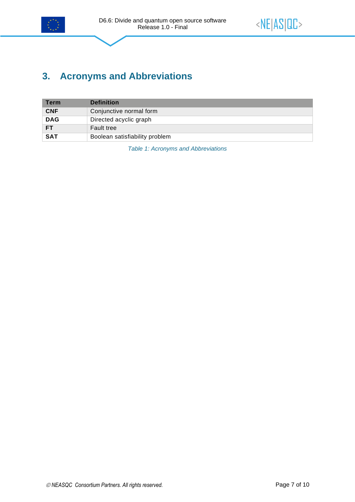

## <span id="page-6-0"></span>**3. Acronyms and Abbreviations**

<span id="page-6-1"></span>

| <b>Term</b> | <b>Definition</b>              |
|-------------|--------------------------------|
| <b>CNF</b>  | Conjunctive normal form        |
| <b>DAG</b>  | Directed acyclic graph         |
| <b>FT</b>   | <b>Fault tree</b>              |
| <b>SAT</b>  | Boolean satisfiability problem |

*Table 1: Acronyms and Abbreviations*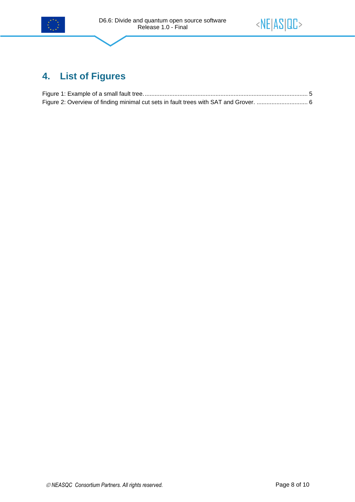



## <span id="page-7-0"></span>**4. List of Figures**

| Figure 2: Overview of finding minimal cut sets in fault trees with SAT and Grover.  6 |  |
|---------------------------------------------------------------------------------------|--|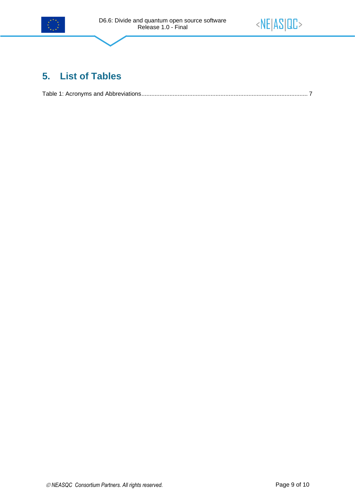



## <span id="page-8-0"></span>**5. List of Tables**

[Table 1: Acronyms and Abbreviations.....................................................................................................](#page-6-1) 7